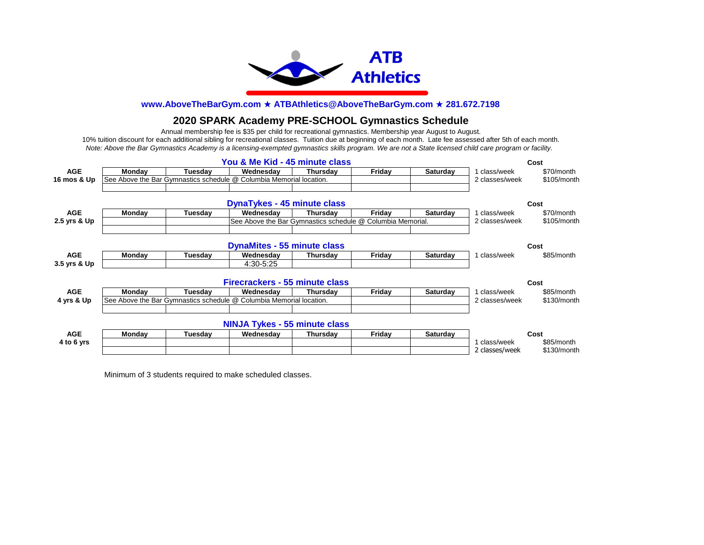

# **2020 SPARK Academy PRE-SCHOOL Gymnastics Schedule**

*Note: Above the Bar Gymnastics Academy is a licensing-exempted gymnastics skills program. We are not a State licensed child care program or facility.*  Annual membership fee is \$35 per child for recreational gymnastics. Membership year August to August. 10% tuition discount for each additional sibling for recreational classes. Tuition due at beginning of each month. Late fee assessed after 5th of each month.

|              | Cost                                                                |         |                                      |                                                            |        |                 |                |             |
|--------------|---------------------------------------------------------------------|---------|--------------------------------------|------------------------------------------------------------|--------|-----------------|----------------|-------------|
| <b>AGE</b>   | Monday                                                              | Tuesdav | Wednesday                            | Thursday                                                   | Friday | <b>Saturday</b> | 1 class/week   | \$70/month  |
| 16 mos & Up  | See Above the Bar Gymnastics schedule @ Columbia Memorial location. |         |                                      |                                                            |        |                 |                | \$105/month |
|              |                                                                     |         |                                      |                                                            |        |                 |                |             |
|              |                                                                     |         | <b>DynaTykes - 45 minute class</b>   |                                                            |        |                 |                | Cost        |
| <b>AGE</b>   | Monday                                                              | Tuesdav | Wednesdav                            | Thursdav                                                   | Fridav | <b>Saturday</b> | class/week     | \$70/month  |
| 2.5 yrs & Up |                                                                     |         |                                      | See Above the Bar Gymnastics schedule @ Columbia Memorial. |        |                 | 2 classes/week | \$105/month |
|              |                                                                     |         |                                      |                                                            |        |                 |                |             |
|              |                                                                     |         | <b>DynaMites - 55 minute class</b>   |                                                            |        |                 |                | Cost        |
| <b>AGE</b>   | <b>Monday</b>                                                       | Tuesdav | Wednesdav                            | Thursday                                                   | Friday | <b>Saturday</b> | 1 class/week   | \$85/month  |
| 3.5 yrs & Up |                                                                     |         | 4:30-5:25                            |                                                            |        |                 |                |             |
|              |                                                                     |         | Firecrackers - 55 minute class       |                                                            |        |                 |                | Cost        |
| <b>AGE</b>   | Monday                                                              | Tuesdav | Wednesday                            | Thursdav                                                   | Friday | <b>Saturday</b> | 1 class/week   | \$85/month  |
| 4 yrs & Up   | See Above the Bar Gymnastics schedule @ Columbia Memorial location. |         |                                      |                                                            |        |                 |                | \$130/month |
|              |                                                                     |         |                                      |                                                            |        |                 |                |             |
|              |                                                                     |         | <b>NINJA Tykes - 55 minute class</b> |                                                            |        |                 |                |             |
| <b>AGE</b>   | Monday                                                              | Tuesday | Wednesdav                            | Thursday                                                   | Friday | Saturday        |                | Cost        |
| 4 to 6 yrs   |                                                                     |         |                                      |                                                            |        |                 | class/week     | \$85/month  |
|              |                                                                     |         |                                      |                                                            |        |                 | 2 classes/week | \$130/month |

Minimum of 3 students required to make scheduled classes.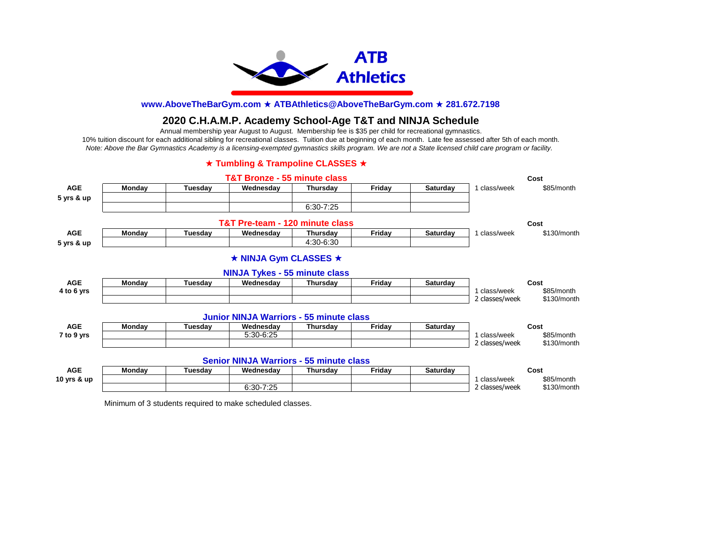

# **2020 C.H.A.M.P. Academy School-Age T&T and NINJA Schedule**

Annual membership year August to August. Membership fee is \$35 per child for recreational gymnastics.

*Note: Above the Bar Gymnastics Academy is a licensing-exempted gymnastics skills program. We are not a State licensed child care program or facility.*  10% tuition discount for each additional sibling for recreational classes. Tuition due at beginning of each month. Late fee assessed after 5th of each month.

### **★ Tumbling & Trampoline CLASSES ★**

|               |        |         | <b>T&amp;T Bronze - 55 minute class</b>        |               |        |                 |                                | Cost                      |
|---------------|--------|---------|------------------------------------------------|---------------|--------|-----------------|--------------------------------|---------------------------|
| <b>AGE</b>    | Monday | Tuesday | Wednesday                                      | Thursday      | Friday | Saturday        | 1 class/week                   | \$85/month                |
| 5 yrs & up    |        |         |                                                |               |        |                 |                                |                           |
|               |        |         |                                                | $6:30 - 7:25$ |        |                 |                                |                           |
|               |        |         | T&T Pre-team - 120 minute class                |               |        |                 |                                | Cost                      |
| <b>AGE</b>    | Monday | Tuesday | Wednesday                                      | Thursday      | Friday | <b>Saturday</b> | 1 class/week                   | \$130/month               |
| 5 yrs & up    |        |         |                                                | 4:30-6:30     |        |                 |                                |                           |
|               |        |         | ★ NINJA Gym CLASSES ★                          |               |        |                 |                                |                           |
|               |        |         | <b>NINJA Tykes - 55 minute class</b>           |               |        |                 |                                |                           |
| <b>AGE</b>    | Monday | Tuesday | Wednesday                                      | Thursday      | Friday | Saturday        |                                | Cost                      |
| 4 to 6 yrs    |        |         |                                                |               |        |                 | 1 class/week<br>2 classes/week | \$85/month<br>\$130/month |
|               |        |         | <b>Junior NINJA Warriors - 55 minute class</b> |               |        |                 |                                |                           |
| <b>AGE</b>    | Monday | Tuesday | Wednesdav                                      | Thursdav      | Friday | <b>Saturday</b> |                                | Cost                      |
| 7 to 9 yrs    |        |         | 5:30-6:25                                      |               |        |                 | 1 class/week                   | \$85/month                |
|               |        |         |                                                |               |        |                 | 2 classes/week                 | \$130/month               |
|               |        |         | <b>Senior NINJA Warriors - 55 minute class</b> |               |        |                 |                                |                           |
| <b>AGE</b>    | Monday | Tuesday | Wednesday                                      | Thursday      | Friday | <b>Saturday</b> |                                | Cost                      |
| 10 yrs $&$ up |        |         |                                                |               |        |                 | 1 class/week                   | \$85/month                |
|               |        |         | 6:30-7:25                                      |               |        |                 | 2 classes/week                 | \$130/month               |

Minimum of 3 students required to make scheduled classes.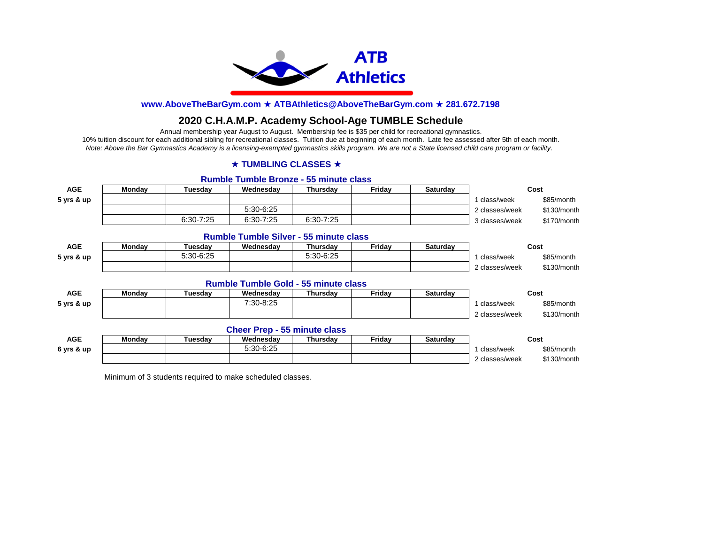

# **2020 C.H.A.M.P. Academy School-Age TUMBLE Schedule**

Annual membership year August to August. Membership fee is \$35 per child for recreational gymnastics. 10% tuition discount for each additional sibling for recreational classes. Tuition due at beginning of each month. Late fee assessed after 5th of each month. *Note: Above the Bar Gymnastics Academy is a licensing-exempted gymnastics skills program. We are not a State licensed child care program or facility.* 

#### **★ TUMBLING CLASSES ★**

#### **Rumble Tumble Bronze - 55 minute class**

| <b>AGE</b> | Monday        | Tuesday       | Wednesday                                     | Thursday  | Friday | Saturday | Cost           |             |
|------------|---------------|---------------|-----------------------------------------------|-----------|--------|----------|----------------|-------------|
| 5 yrs & up |               |               |                                               |           |        |          | 1 class/week   | \$85/month  |
|            |               |               | 5:30-6:25                                     |           |        |          | 2 classes/week | \$130/month |
|            |               | $6:30 - 7:25$ | $6:30 - 7:25$                                 | 6:30-7:25 |        |          | 3 classes/week | \$170/month |
|            |               |               | <b>Rumble Tumble Silver - 55 minute class</b> |           |        |          |                |             |
| <b>AGE</b> | Monday        | Tuesdav       | Wednesday                                     | Thursday  | Friday | Saturday |                | Cost        |
| 5 yrs & up |               | 5:30-6:25     |                                               | 5:30-6:25 |        |          | 1 class/week   | \$85/month  |
|            |               |               |                                               |           |        |          | 2 classes/week | \$130/month |
|            |               |               | <b>Rumble Tumble Gold - 55 minute class</b>   |           |        |          |                |             |
| <b>AGE</b> | <b>Monday</b> | Tuesday       | Wednesdav                                     | Thursday  | Friday | Saturday |                | Cost        |
| 5 yrs & up |               |               | 7:30-8:25                                     |           |        |          | 1 class/week   | \$85/month  |
|            |               |               |                                               |           |        |          | 2 classes/week | \$130/month |
|            |               |               | <b>Cheer Prep - 55 minute class</b>           |           |        |          |                |             |
| <b>AGE</b> | Monday        | Tuesday       | Wednesday                                     | Thursday  | Friday | Saturday | Cost           |             |
| 6 yrs & up |               |               | 5:30-6:25                                     |           |        |          | 1 class/week   | \$85/month  |
|            |               |               |                                               |           |        |          | 2 classes/week | \$130/month |

Minimum of 3 students required to make scheduled classes.